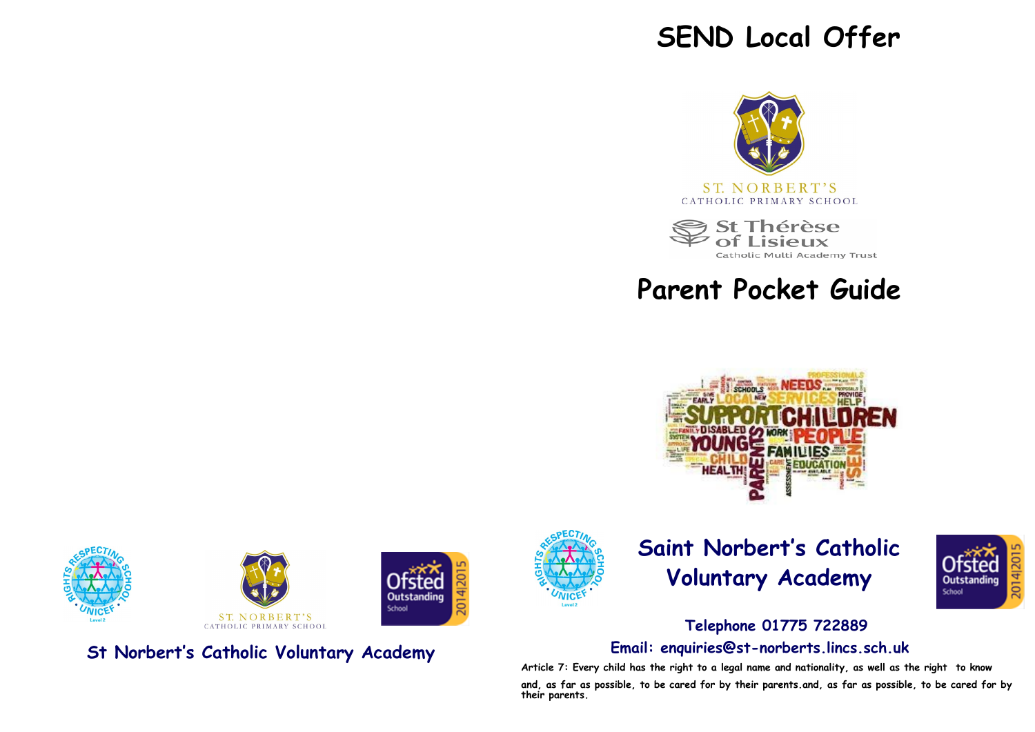# **SEND Local Offer**



Thérèse Catholic Multi Academy Trust

**Parent Pocket Guide** 









**St Norbert's Catholic Voluntary Academy**



# **Saint Norbert's Catholic Voluntary Academy**



# **Telephone 01775 722889 Email: enquiries@st-norberts.lincs.sch.uk**

**Article 7: Every child has the right to a legal name and nationality, as well as the right to know and, as far as possible, to be cared for by their parents.and, as far as possible, to be cared for by their parents.**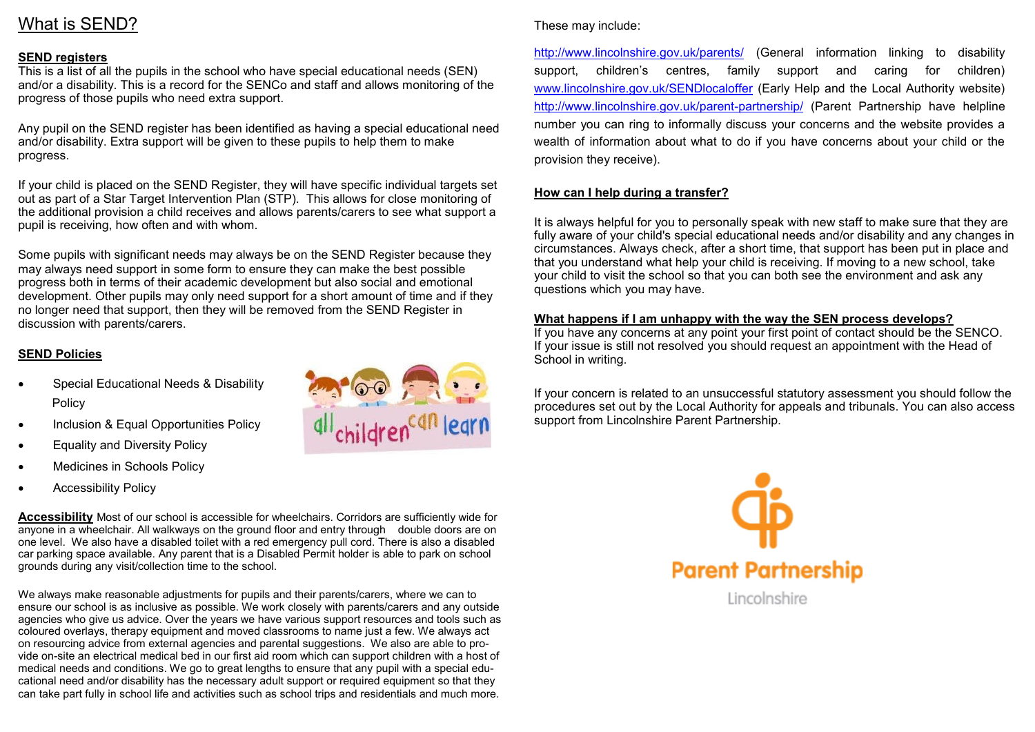# What is SEND?

## **SEND registers**

This is a list of all the pupils in the school who have special educational needs (SEN) and/or a disability. This is a record for the SENCo and staff and allows monitoring of the progress of those pupils who need extra support.

Any pupil on the SEND register has been identified as having a special educational need and/or disability. Extra support will be given to these pupils to help them to make progress.

If your child is placed on the SEND Register, they will have specific individual targets set out as part of a Star Target Intervention Plan (STP). This allows for close monitoring of the additional provision a child receives and allows parents/carers to see what support a pupil is receiving, how often and with whom.

Some pupils with significant needs may always be on the SEND Register because they may always need support in some form to ensure they can make the best possible progress both in terms of their academic development but also social and emotional development. Other pupils may only need support for a short amount of time and if they no longer need that support, then they will be removed from the SEND Register in discussion with parents/carers.

## **SEND Policies**

- Special Educational Needs & Disability Policy
- Inclusion & Equal Opportunities Policy
- Equality and Diversity Policy
- Medicines in Schools Policy
- Accessibility Policy

**Accessibility** Most of our school is accessible for wheelchairs. Corridors are sufficiently wide for anyone in a wheelchair. All walkways on the ground floor and entry through double doors are on one level. We also have a disabled toilet with a red emergency pull cord. There is also a disabled car parking space available. Any parent that is a Disabled Permit holder is able to park on school grounds during any visit/collection time to the school.

We always make reasonable adjustments for pupils and their parents/carers, where we can to ensure our school is as inclusive as possible. We work closely with parents/carers and any outside agencies who give us advice. Over the years we have various support resources and tools such as coloured overlays, therapy equipment and moved classrooms to name just a few. We always act on resourcing advice from external agencies and parental suggestions. We also are able to provide on-site an electrical medical bed in our first aid room which can support children with a host of medical needs and conditions. We go to great lengths to ensure that any pupil with a special educational need and/or disability has the necessary adult support or required equipment so that they can take part fully in school life and activities such as school trips and residentials and much more.



#### These may include:

<http://www.lincolnshire.gov.uk/parents/> [\(](http://www.lincolnshire.gov.uk/parents/)General information linking to disability support, children's centres, family support and caring for children) [www.lincolnshire.gov.uk/SENDlocaloffer](http://www.lincolnshire.gov.uk/SENDlocaloffer) [\(E](http://www.lincolnshire.gov.uk/SENDlocaloffer)arly Help and the Local Authority website) [http://www.lincolnshire.gov.uk/parent](http://www.lincolnshire.gov.uk/parent-partnership/)-partnership/ [\(P](http://www.lincolnshire.gov.uk/parent-partnership/)arent Partnership have helpline number you can ring to informally discuss your concerns and the website provides a wealth of information about what to do if you have concerns about your child or the provision they receive).

## **How can I help during a transfer?**

It is always helpful for you to personally speak with new staff to make sure that they are fully aware of your child's special educational needs and/or disability and any changes in circumstances. Always check, after a short time, that support has been put in place and that you understand what help your child is receiving. If moving to a new school, take your child to visit the school so that you can both see the environment and ask any questions which you may have.

## **What happens if I am unhappy with the way the SEN process develops?**

If you have any concerns at any point your first point of contact should be the SENCO. If your issue is still not resolved you should request an appointment with the Head of School in writing.

If your concern is related to an unsuccessful statutory assessment you should follow the procedures set out by the Local Authority for appeals and tribunals. You can also access support from Lincolnshire Parent Partnership.

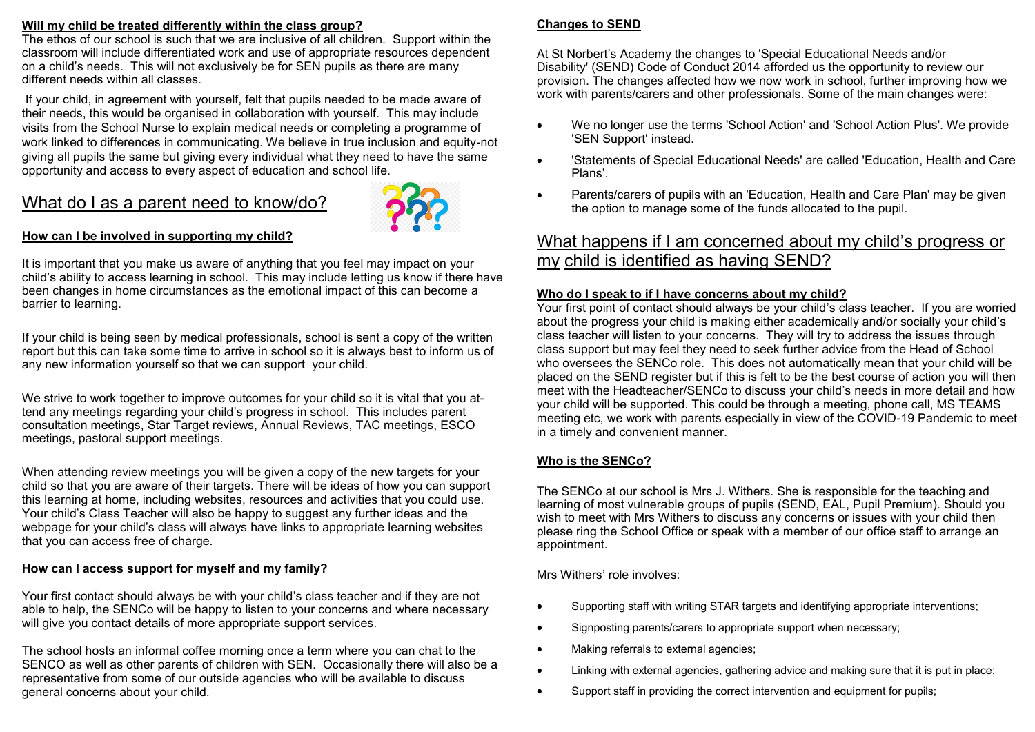## **Will my child be treated differently within the class group?**

The ethos of our school is such that we are inclusive of all children. Support within the classroom will include differentiated work and use of appropriate resources dependent on a child's needs. This will not exclusively be for SEN pupils as there are many different needs within all classes.

If your child, in agreement with yourself, felt that pupils needed to be made aware of their needs, this would be organised in collaboration with yourself. This may include visits from the School Nurse to explain medical needs or completing a programme of work linked to differences in communicating. We believe in true inclusion and equity-not giving all pupils the same but giving every individual what they need to have the same opportunity and access to every aspect of education and school life.

# What do I as a parent need to know/do?



## **How can I be involved in supporting my child?**

It is important that you make us aware of anything that you feel may impact on your child's ability to access learning in school. This may include letting us know if there have been changes in home circumstances as the emotional impact of this can become a barrier to learning.

If your child is being seen by medical professionals, school is sent a copy of the written report but this can take some time to arrive in school so it is always best to inform us of any new information yourself so that we can support your child.

We strive to work together to improve outcomes for your child so it is vital that you attend any meetings regarding your child's progress in school. This includes parent consultation meetings, Star Target reviews, Annual Reviews, TAC meetings, ESCO meetings, pastoral support meetings.

When attending review meetings you will be given a copy of the new targets for your child so that you are aware of their targets. There will be ideas of how you can support this learning at home, including websites, resources and activities that you could use. Your child's Class Teacher will also be happy to suggest any further ideas and the webpage for your child's class will always have links to appropriate learning websites that you can access free of charge.

## **How can I access support for myself and my family?**

Your first contact should always be with your child's class teacher and if they are not able to help, the SENCo will be happy to listen to your concerns and where necessary will give you contact details of more appropriate support services.

The school hosts an informal coffee morning once a term where you can chat to the SENCO as well as other parents of children with SEN. Occasionally there will also be a representative from some of our outside agencies who will be available to discuss general concerns about your child.

### **Changes to SEND**

At St Norbert's Academy the changes to 'Special Educational Needs and/or Disability' (SEND) Code of Conduct 2014 afforded us the opportunity to review our provision. The changes affected how we now work in school, further improving how we work with parents/carers and other professionals. Some of the main changes were:

- We no longer use the terms 'School Action' and 'School Action Plus'. We provide 'SEN Support' instead.
- 'Statements of Special Educational Needs' are called 'Education, Health and Care Plans'.
- Parents/carers of pupils with an 'Education, Health and Care Plan' may be given the option to manage some of the funds allocated to the pupil.

## What happens if I am concerned about my child's progress or my child is identified as having SEND?

### **Who do I speak to if I have concerns about my child?**

Your first point of contact should always be your child's class teacher. If you are worried about the progress your child is making either academically and/or socially your child's class teacher will listen to your concerns. They will try to address the issues through class support but may feel they need to seek further advice from the Head of School who oversees the SENCo role. This does not automatically mean that your child will be placed on the SEND register but if this is felt to be the best course of action you will then meet with the Headteacher/SENCo to discuss your child's needs in more detail and how your child will be supported. This could be through a meeting, phone call, MS TEAMS meeting etc, we work with parents especially in view of the COVID-19 Pandemic to meet in a timely and convenient manner.

## **Who is the SENCo?**

The SENCo at our school is Mrs J. Withers. She is responsible for the teaching and learning of most vulnerable groups of pupils (SEND, EAL, Pupil Premium). Should you wish to meet with Mrs Withers to discuss any concerns or issues with your child then please ring the School Office or speak with a member of our office staff to arrange an appointment.

Mrs Withers' role involves:

- Supporting staff with writing STAR targets and identifying appropriate interventions;
- Signposting parents/carers to appropriate support when necessary:
- Making referrals to external agencies;
- Linking with external agencies, gathering advice and making sure that it is put in place;
- Support staff in providing the correct intervention and equipment for pupils;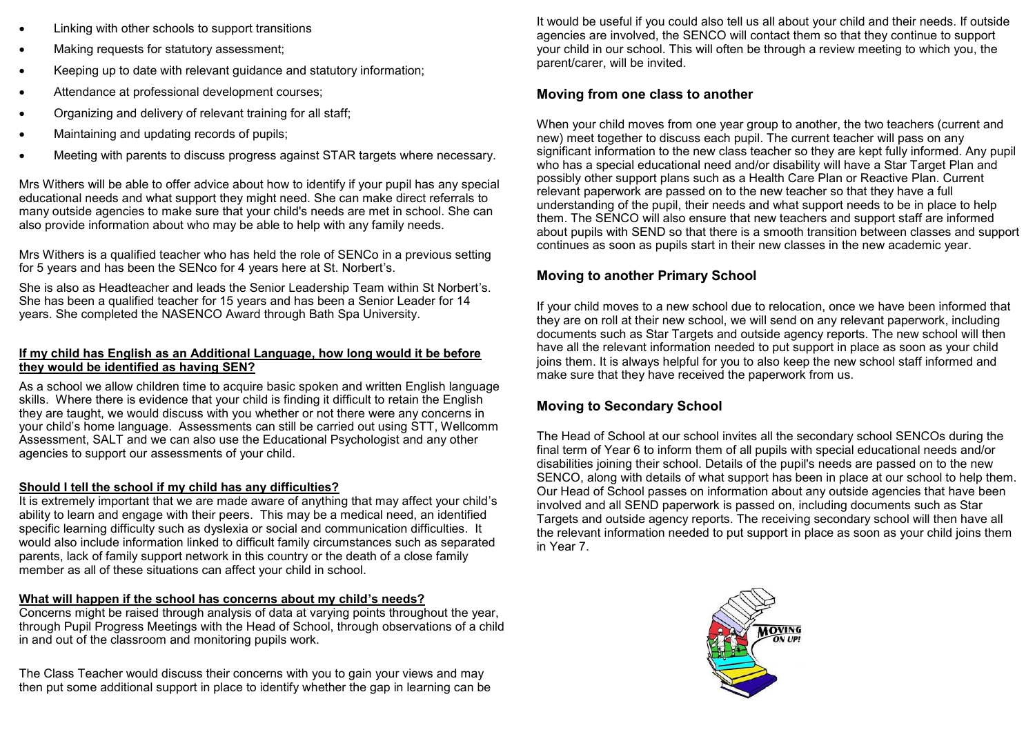- Linking with other schools to support transitions
- Making requests for statutory assessment:
- Keeping up to date with relevant guidance and statutory information:
- Attendance at professional development courses;
- Organizing and delivery of relevant training for all staff;
- Maintaining and updating records of pupils:
- Meeting with parents to discuss progress against STAR targets where necessary.

Mrs Withers will be able to offer advice about how to identify if your pupil has any special educational needs and what support they might need. She can make direct referrals to many outside agencies to make sure that your child's needs are met in school. She can also provide information about who may be able to help with any family needs.

Mrs Withers is a qualified teacher who has held the role of SENCo in a previous setting for 5 years and has been the SENco for 4 years here at St. Norbert's.

She is also as Headteacher and leads the Senior Leadership Team within St Norbert's. She has been a qualified teacher for 15 years and has been a Senior Leader for 14 years. She completed the NASENCO Award through Bath Spa University.

## **If my child has English as an Additional Language, how long would it be before they would be identified as having SEN?**

As a school we allow children time to acquire basic spoken and written English language skills. Where there is evidence that your child is finding it difficult to retain the English they are taught, we would discuss with you whether or not there were any concerns in your child's home language. Assessments can still be carried out using STT, Wellcomm Assessment, SALT and we can also use the Educational Psychologist and any other agencies to support our assessments of your child.

# **Should I tell the school if my child has any difficulties?**

It is extremely important that we are made aware of anything that may affect your child's ability to learn and engage with their peers. This may be a medical need, an identified specific learning difficulty such as dyslexia or social and communication difficulties. It would also include information linked to difficult family circumstances such as separated parents, lack of family support network in this country or the death of a close family member as all of these situations can affect your child in school.

# **What will happen if the school has concerns about my child's needs?**

Concerns might be raised through analysis of data at varying points throughout the year, through Pupil Progress Meetings with the Head of School, through observations of a child in and out of the classroom and monitoring pupils work.

The Class Teacher would discuss their concerns with you to gain your views and may then put some additional support in place to identify whether the gap in learning can be

It would be useful if you could also tell us all about your child and their needs. If outside agencies are involved, the SENCO will contact them so that they continue to support your child in our school. This will often be through a review meeting to which you, the parent/carer, will be invited.

## **Moving from one class to another**

When your child moves from one year group to another, the two teachers (current and new) meet together to discuss each pupil. The current teacher will pass on any significant information to the new class teacher so they are kept fully informed. Any pupil who has a special educational need and/or disability will have a Star Target Plan and possibly other support plans such as a Health Care Plan or Reactive Plan. Current relevant paperwork are passed on to the new teacher so that they have a full understanding of the pupil, their needs and what support needs to be in place to help them. The SENCO will also ensure that new teachers and support staff are informed about pupils with SEND so that there is a smooth transition between classes and support continues as soon as pupils start in their new classes in the new academic year.

# **Moving to another Primary School**

If your child moves to a new school due to relocation, once we have been informed that they are on roll at their new school, we will send on any relevant paperwork, including documents such as Star Targets and outside agency reports. The new school will then have all the relevant information needed to put support in place as soon as your child joins them. It is always helpful for you to also keep the new school staff informed and make sure that they have received the paperwork from us.

# **Moving to Secondary School**

The Head of School at our school invites all the secondary school SENCOs during the final term of Year 6 to inform them of all pupils with special educational needs and/or disabilities joining their school. Details of the pupil's needs are passed on to the new SENCO, along with details of what support has been in place at our school to help them. Our Head of School passes on information about any outside agencies that have been involved and all SEND paperwork is passed on, including documents such as Star Targets and outside agency reports. The receiving secondary school will then have all the relevant information needed to put support in place as soon as your child joins them in Year 7.

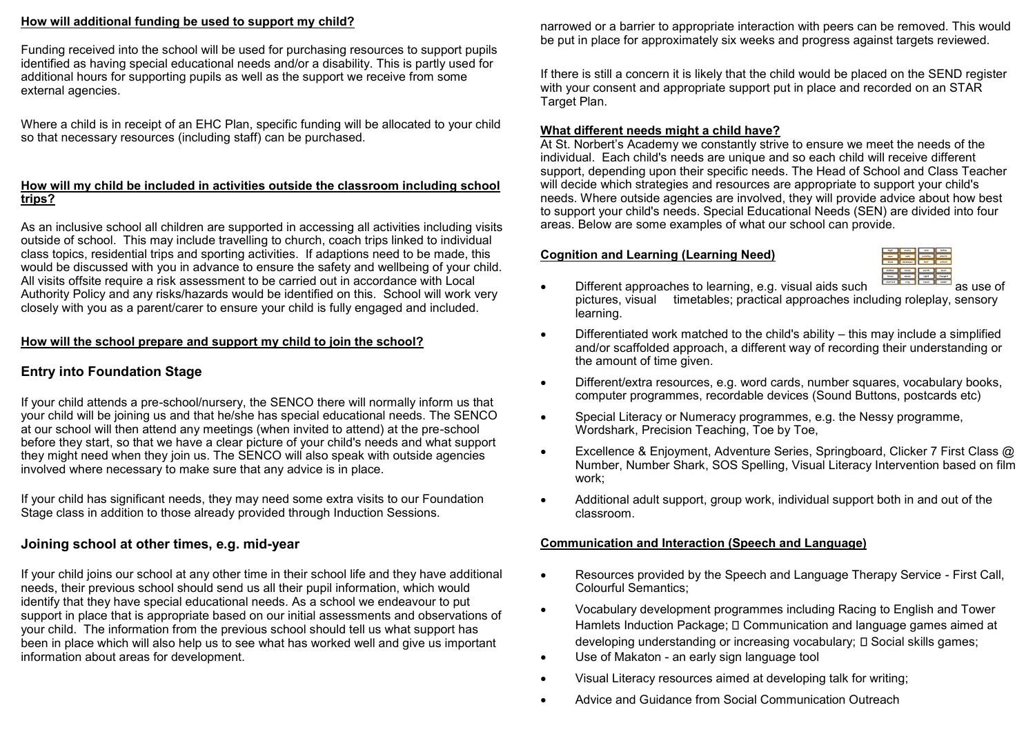#### **How will additional funding be used to support my child?**

Funding received into the school will be used for purchasing resources to support pupils identified as having special educational needs and/or a disability. This is partly used for additional hours for supporting pupils as well as the support we receive from some external agencies.

Where a child is in receipt of an EHC Plan, specific funding will be allocated to your child so that necessary resources (including staff) can be purchased.

## **How will my child be included in activities outside the classroom including school trips?**

As an inclusive school all children are supported in accessing all activities including visits outside of school. This may include travelling to church, coach trips linked to individual class topics, residential trips and sporting activities. If adaptions need to be made, this would be discussed with you in advance to ensure the safety and wellbeing of your child. All visits offsite require a risk assessment to be carried out in accordance with Local Authority Policy and any risks/hazards would be identified on this. School will work very closely with you as a parent/carer to ensure your child is fully engaged and included.

## **How will the school prepare and support my child to join the school?**

## **Entry into Foundation Stage**

If your child attends a pre-school/nursery, the SENCO there will normally inform us that your child will be joining us and that he/she has special educational needs. The SENCO at our school will then attend any meetings (when invited to attend) at the pre-school before they start, so that we have a clear picture of your child's needs and what support they might need when they join us. The SENCO will also speak with outside agencies involved where necessary to make sure that any advice is in place.

If your child has significant needs, they may need some extra visits to our Foundation Stage class in addition to those already provided through Induction Sessions.

## **Joining school at other times, e.g. mid-year**

If your child joins our school at any other time in their school life and they have additional needs, their previous school should send us all their pupil information, which would identify that they have special educational needs. As a school we endeavour to put support in place that is appropriate based on our initial assessments and observations of your child. The information from the previous school should tell us what support has been in place which will also help us to see what has worked well and give us important information about areas for development.

narrowed or a barrier to appropriate interaction with peers can be removed. This would be put in place for approximately six weeks and progress against targets reviewed.

If there is still a concern it is likely that the child would be placed on the SEND register with your consent and appropriate support put in place and recorded on an STAR Target Plan.

## **What different needs might a child have?**

At St. Norbert's Academy we constantly strive to ensure we meet the needs of the individual. Each child's needs are unique and so each child will receive different support, depending upon their specific needs. The Head of School and Class Teacher will decide which strategies and resources are appropriate to support your child's needs. Where outside agencies are involved, they will provide advice about how best to support your child's needs. Special Educational Needs (SEN) are divided into four areas. Below are some examples of what our school can provide.

## **Cognition and Learning (Learning Need)**

- Different approaches to learning, e.g. visual aids such and all all as use of pictures, visual timetables: practical approaches including roleplay, sensory timetables; practical approaches including roleplay, sensory learning.
- Differentiated work matched to the child's ability this may include a simplified and/or scaffolded approach, a different way of recording their understanding or the amount of time given.
- Different/extra resources, e.g. word cards, number squares, vocabulary books, computer programmes, recordable devices (Sound Buttons, postcards etc)
- Special Literacy or Numeracy programmes, e.g. the Nessy programme, Wordshark, Precision Teaching, Toe by Toe,
- Excellence & Enjoyment, Adventure Series, Springboard, Clicker 7 First Class @ Number, Number Shark, SOS Spelling, Visual Literacy Intervention based on film work;
- Additional adult support, group work, individual support both in and out of the classroom.

## **Communication and Interaction (Speech and Language)**

- Resources provided by the Speech and Language Therapy Service First Call, Colourful Semantics;
- Vocabulary development programmes including Racing to English and Tower Hamlets Induction Package;  $\square$  Communication and language games aimed at  $developing$  understanding or increasing vocabulary;  $\square$  Social skills games;
- Use of Makaton an early sign language tool
- Visual Literacy resources aimed at developing talk for writing;
- Advice and Guidance from Social Communication Outreach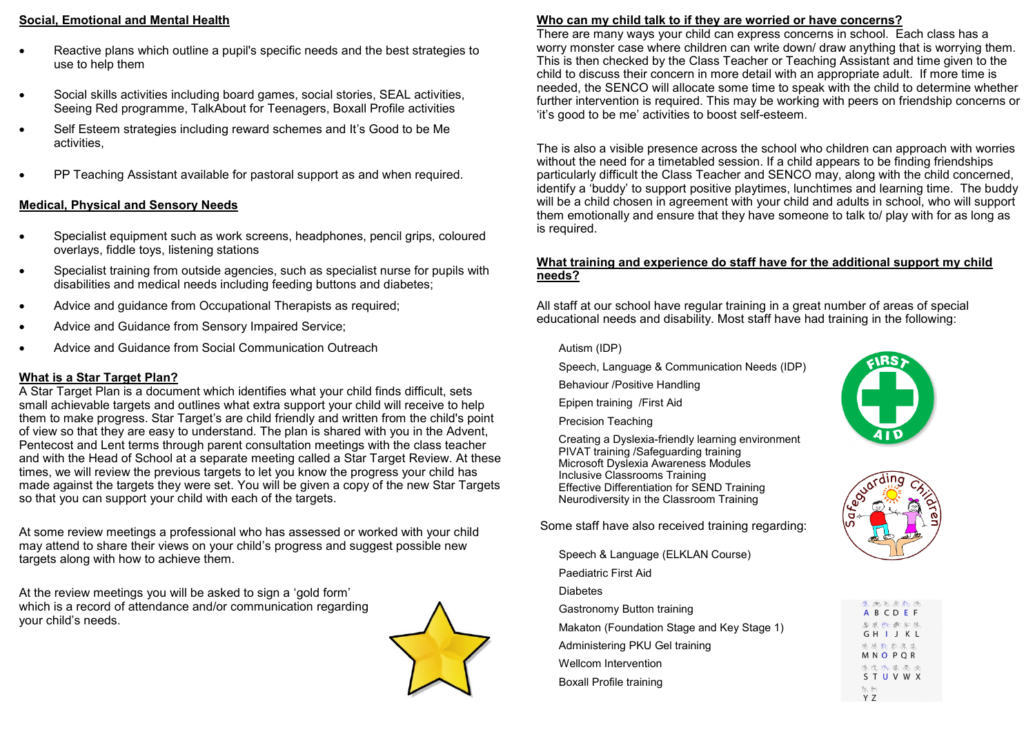## **Social, Emotional and Mental Health**

- Reactive plans which outline a pupil's specific needs and the best strategies to use to help them
- Social skills activities including board games, social stories, SEAL activities, Seeing Red programme, TalkAbout for Teenagers, Boxall Profile activities
- Self Esteem strategies including reward schemes and It's Good to be Me activities,
- PP Teaching Assistant available for pastoral support as and when required.

## **Medical, Physical and Sensory Needs**

- Specialist equipment such as work screens, headphones, pencil grips, coloured overlays, fiddle toys, listening stations
- Specialist training from outside agencies, such as specialist nurse for pupils with disabilities and medical needs including feeding buttons and diabetes;
- Advice and guidance from Occupational Therapists as required;
- Advice and Guidance from Sensory Impaired Service;
- Advice and Guidance from Social Communication Outreach

## **What is a Star Target Plan?**

A Star Target Plan is a document which identifies what your child finds difficult, sets small achievable targets and outlines what extra support your child will receive to help them to make progress. Star Target's are child friendly and written from the child's point of view so that they are easy to understand. The plan is shared with you in the Advent, Pentecost and Lent terms through parent consultation meetings with the class teacher and with the Head of School at a separate meeting called a Star Target Review. At these times, we will review the previous targets to let you know the progress your child has made against the targets they were set. You will be given a copy of the new Star Targets so that you can support your child with each of the targets.

At some review meetings a professional who has assessed or worked with your child may attend to share their views on your child's progress and suggest possible new targets along with how to achieve them.

At the review meetings you will be asked to sign a 'gold form' which is a record of attendance and/or communication regarding your child's needs.



## **Who can my child talk to if they are worried or have concerns?**

There are many ways your child can express concerns in school. Each class has a worry monster case where children can write down/ draw anything that is worrying them. This is then checked by the Class Teacher or Teaching Assistant and time given to the child to discuss their concern in more detail with an appropriate adult. If more time is needed, the SENCO will allocate some time to speak with the child to determine whether further intervention is required. This may be working with peers on friendship concerns or 'it's good to be me' activities to boost self-esteem.

The is also a visible presence across the school who children can approach with worries without the need for a timetabled session. If a child appears to be finding friendships particularly difficult the Class Teacher and SENCO may, along with the child concerned, identify a 'buddy' to support positive playtimes, lunchtimes and learning time. The buddy will be a child chosen in agreement with your child and adults in school, who will support them emotionally and ensure that they have someone to talk to/ play with for as long as is required.

## **What training and experience do staff have for the additional support my child needs?**

All staff at our school have regular training in a great number of areas of special educational needs and disability. Most staff have had training in the following:

#### Autism (IDP)

- Speech, Language & Communication Needs (IDP)
- Behaviour /Positive Handling
- Epipen training /First Aid
- Precision Teaching

Creating a Dyslexia-friendly learning environment PIVAT training /Safeguarding training Microsoft Dyslexia Awareness Modules Inclusive Classrooms Training Effective Differentiation for SEND Training Neurodiversity in the Classroom Training

Some staff have also received training regarding:

- Speech & Language (ELKLAN Course)
- Paediatric First Aid
- **Diabetes**
- Gastronomy Button training
- Makaton (Foundation Stage and Key Stage 1)
- Administering PKU Gel training
- Wellcom Intervention Boxall Profile training





|              | 医两名原质质<br>ABCDEF      |
|--------------|-----------------------|
|              | 春风快乐后原                |
|              | GHIJKL                |
|              | 恩恩能思愿<br>MNO PQR      |
|              | 像没以黑墨鱼<br>S T U V W X |
| is to<br>Y 7 |                       |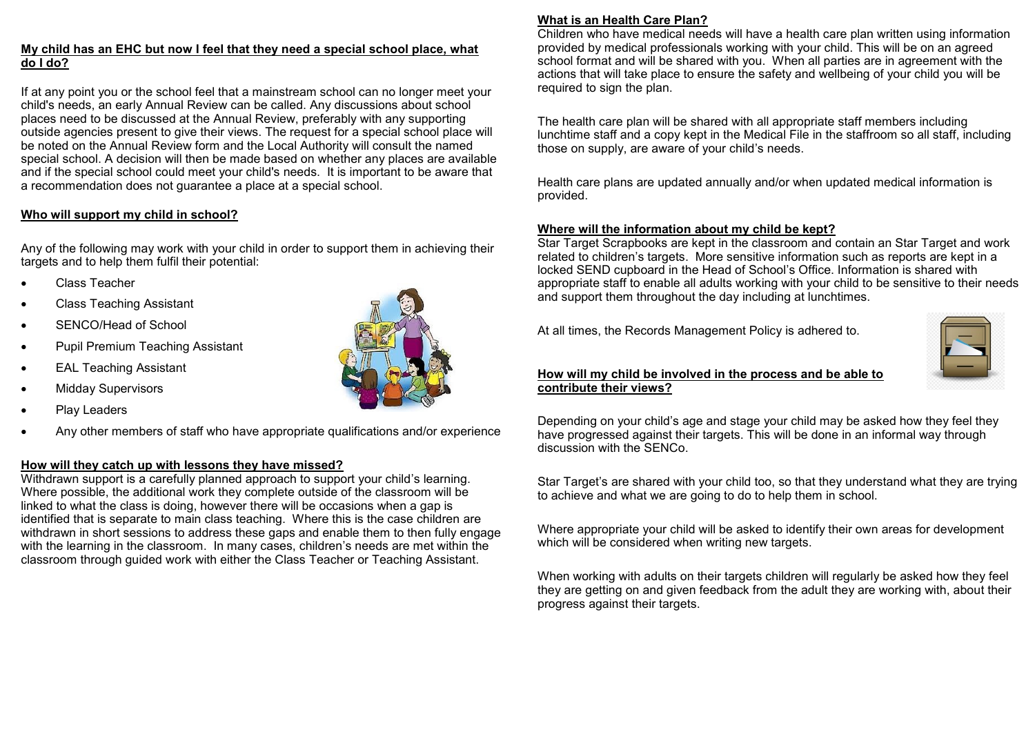## **My child has an EHC but now I feel that they need a special school place, what do I do?**

If at any point you or the school feel that a mainstream school can no longer meet your child's needs, an early Annual Review can be called. Any discussions about school places need to be discussed at the Annual Review, preferably with any supporting outside agencies present to give their views. The request for a special school place will be noted on the Annual Review form and the Local Authority will consult the named special school. A decision will then be made based on whether any places are available and if the special school could meet your child's needs. It is important to be aware that a recommendation does not guarantee a place at a special school.

## **Who will support my child in school?**

Any of the following may work with your child in order to support them in achieving their targets and to help them fulfil their potential:

- Class Teacher
- Class Teaching Assistant
- SENCO/Head of School
- Pupil Premium Teaching Assistant
- **EAL Teaching Assistant**
- Midday Supervisors
- Play Leaders
- Any other members of staff who have appropriate qualifications and/or experience

## **How will they catch up with lessons they have missed?**

Withdrawn support is a carefully planned approach to support your child's learning. Where possible, the additional work they complete outside of the classroom will be linked to what the class is doing, however there will be occasions when a gap is identified that is separate to main class teaching. Where this is the case children are withdrawn in short sessions to address these gaps and enable them to then fully engage with the learning in the classroom. In many cases, children's needs are met within the classroom through guided work with either the Class Teacher or Teaching Assistant.



### **What is an Health Care Plan?**

Children who have medical needs will have a health care plan written using information provided by medical professionals working with your child. This will be on an agreed school format and will be shared with you. When all parties are in agreement with the actions that will take place to ensure the safety and wellbeing of your child you will be required to sign the plan.

The health care plan will be shared with all appropriate staff members including lunchtime staff and a copy kept in the Medical File in the staffroom so all staff, including those on supply, are aware of your child's needs.

Health care plans are updated annually and/or when updated medical information is provided.

#### **Where will the information about my child be kept?**

Star Target Scrapbooks are kept in the classroom and contain an Star Target and work related to children's targets. More sensitive information such as reports are kept in a locked SEND cupboard in the Head of School's Office. Information is shared with appropriate staff to enable all adults working with your child to be sensitive to their needs and support them throughout the day including at lunchtimes.

At all times, the Records Management Policy is adhered to.



#### **How will my child be involved in the process and be able to contribute their views?**

Depending on your child's age and stage your child may be asked how they feel they have progressed against their targets. This will be done in an informal way through discussion with the SENCo.

Star Target's are shared with your child too, so that they understand what they are trying to achieve and what we are going to do to help them in school.

Where appropriate your child will be asked to identify their own areas for development which will be considered when writing new targets.

When working with adults on their targets children will regularly be asked how they feel they are getting on and given feedback from the adult they are working with, about their progress against their targets.